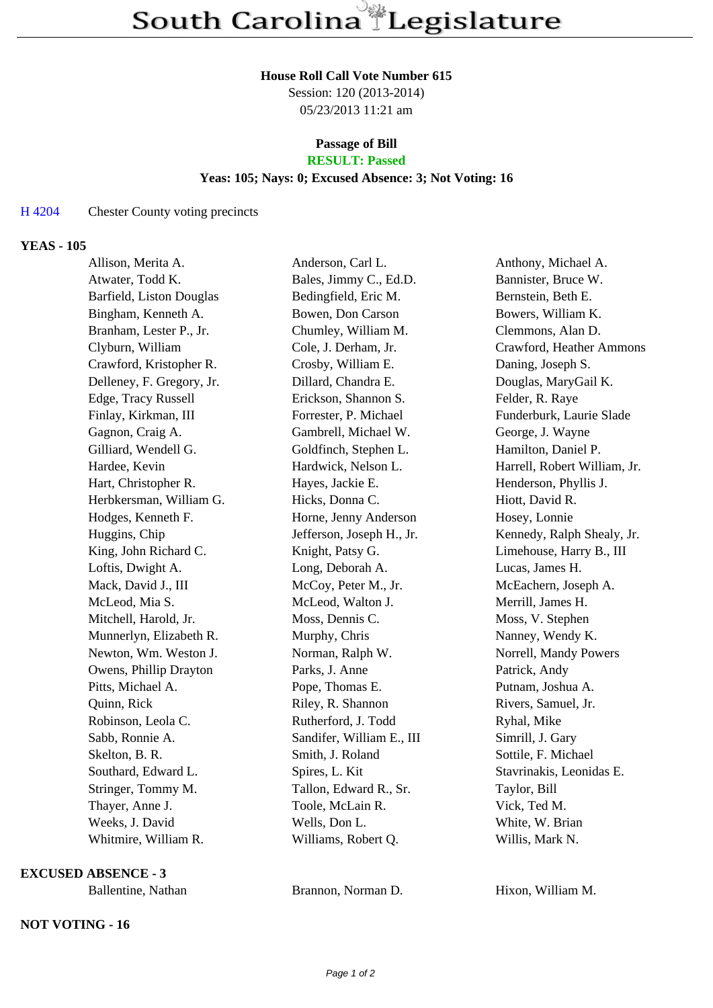#### **House Roll Call Vote Number 615**

Session: 120 (2013-2014) 05/23/2013 11:21 am

#### **Passage of Bill RESULT: Passed**

# **Yeas: 105; Nays: 0; Excused Absence: 3; Not Voting: 16**

## H 4204 Chester County voting precincts

### **YEAS - 105**

| Allison, Merita A.        | Anderson, Carl L.         | Anthony, Michael A.          |
|---------------------------|---------------------------|------------------------------|
| Atwater, Todd K.          | Bales, Jimmy C., Ed.D.    | Bannister, Bruce W.          |
| Barfield, Liston Douglas  | Bedingfield, Eric M.      | Bernstein, Beth E.           |
| Bingham, Kenneth A.       | Bowen, Don Carson         | Bowers, William K.           |
| Branham, Lester P., Jr.   | Chumley, William M.       | Clemmons, Alan D.            |
| Clyburn, William          | Cole, J. Derham, Jr.      | Crawford, Heather Ammons     |
| Crawford, Kristopher R.   | Crosby, William E.        | Daning, Joseph S.            |
| Delleney, F. Gregory, Jr. | Dillard, Chandra E.       | Douglas, MaryGail K.         |
| Edge, Tracy Russell       | Erickson, Shannon S.      | Felder, R. Raye              |
| Finlay, Kirkman, III      | Forrester, P. Michael     | Funderburk, Laurie Slade     |
| Gagnon, Craig A.          | Gambrell, Michael W.      | George, J. Wayne             |
| Gilliard, Wendell G.      | Goldfinch, Stephen L.     | Hamilton, Daniel P.          |
| Hardee, Kevin             | Hardwick, Nelson L.       | Harrell, Robert William, Jr. |
| Hart, Christopher R.      | Hayes, Jackie E.          | Henderson, Phyllis J.        |
| Herbkersman, William G.   | Hicks, Donna C.           | Hiott, David R.              |
| Hodges, Kenneth F.        | Horne, Jenny Anderson     | Hosey, Lonnie                |
| Huggins, Chip             | Jefferson, Joseph H., Jr. | Kennedy, Ralph Shealy, Jr.   |
| King, John Richard C.     | Knight, Patsy G.          | Limehouse, Harry B., III     |
| Loftis, Dwight A.         | Long, Deborah A.          | Lucas, James H.              |
| Mack, David J., III       | McCoy, Peter M., Jr.      | McEachern, Joseph A.         |
| McLeod, Mia S.            | McLeod, Walton J.         | Merrill, James H.            |
| Mitchell, Harold, Jr.     | Moss, Dennis C.           | Moss, V. Stephen             |
| Munnerlyn, Elizabeth R.   | Murphy, Chris             | Nanney, Wendy K.             |
| Newton, Wm. Weston J.     | Norman, Ralph W.          | Norrell, Mandy Powers        |
| Owens, Phillip Drayton    | Parks, J. Anne            | Patrick, Andy                |
| Pitts, Michael A.         | Pope, Thomas E.           | Putnam, Joshua A.            |
| Quinn, Rick               | Riley, R. Shannon         | Rivers, Samuel, Jr.          |
| Robinson, Leola C.        | Rutherford, J. Todd       | Ryhal, Mike                  |
| Sabb, Ronnie A.           | Sandifer, William E., III | Simrill, J. Gary             |
| Skelton, B. R.            | Smith, J. Roland          | Sottile, F. Michael          |
| Southard, Edward L.       | Spires, L. Kit            | Stavrinakis, Leonidas E.     |
| Stringer, Tommy M.        | Tallon, Edward R., Sr.    | Taylor, Bill                 |
| Thayer, Anne J.           | Toole, McLain R.          | Vick, Ted M.                 |
| Weeks, J. David           | Wells, Don L.             | White, W. Brian              |
| Whitmire, William R.      | Williams, Robert Q.       | Willis, Mark N.              |

**EXCUSED ABSENCE - 3**

## **NOT VOTING - 16**

Ballentine, Nathan Brannon, Norman D. Hixon, William M.